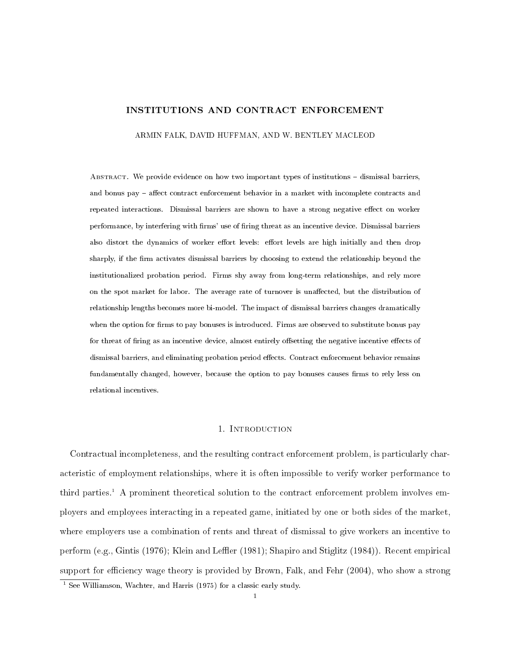## INSTITUTIONS AND CONTRACT ENFORCEMENT

ARMIN FALK, DAVID HUFFMAN, AND W. BENTLEY MACLEOD

ABSTRACT. We provide evidence on how two important types of institutions - dismissal barriers, and bonus pay – affect contract enforcement behavior in a market with incomplete contracts and repeated interactions. Dismissal barriers are shown to have a strong negative effect on worker performance, by interfering with firms' use of firing threat as an incentive device. Dismissal barriers also distort the dynamics of worker effort levels: effort levels are high initially and then drop sharply, if the firm activates dismissal barriers by choosing to extend the relationship beyond the institutionalized probation period. Firms shy away from long-term relationships, and rely more on the spot market for labor. The average rate of turnover is unaffected, but the distribution of relationship lengths becomes more bi-model. The impact of dismissal barriers changes dramatically when the option for firms to pay bonuses is introduced. Firms are observed to substitute bonus pay for threat of firing as an incentive device, almost entirely offsetting the negative incentive effects of dismissal barriers, and eliminating probation period effects. Contract enforcement behavior remains fundamentally changed, however, because the option to pay bonuses causes firms to rely less on relational incentives.

#### 1. INTRODUCTION

Contractual incompleteness, and the resulting contract enforcement problem, is particularly characteristic of employment relationships, where it is often impossible to verify worker performance to third parties.<sup>1</sup> A prominent theoretical solution to the contract enforcement problem involves employers and employees interacting in a repeated game, initiated by one or both sides of the market, where employers use a combination of rents and threat of dismissal to give workers an incentive to perform (e.g., Gintis (1976); Klein and Leffler (1981); Shapiro and Stiglitz (1984)). Recent empirical support for efficiency wage theory is provided by Brown, Falk, and Fehr (2004), who show a strong  $1$  See Williamson, Wachter, and Harris (1975) for a classic early study.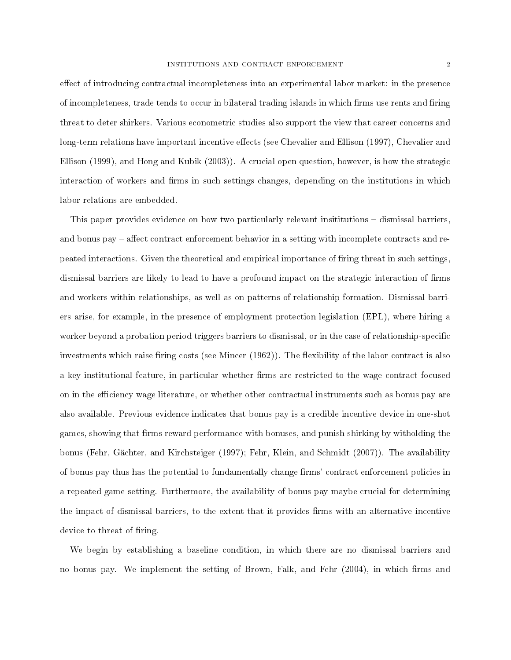effect of introducing contractual incompleteness into an experimental labor market: in the presence of incompleteness, trade tends to occur in bilateral trading islands in which firms use rents and firing threat to deter shirkers. Various econometric studies also support the view that career concerns and long-term relations have important incentive effects (see Chevalier and Ellison (1997), Chevalier and Ellison (1999), and Hong and Kubik (2003)). A crucial open question, however, is how the strategic interaction of workers and firms in such settings changes, depending on the institutions in which labor relations are embedded.

This paper provides evidence on how two particularly relevant insititutions – dismissal barriers, and bonus pay  $-$  affect contract enforcement behavior in a setting with incomplete contracts and repeated interactions. Given the theoretical and empirical importance of firing threat in such settings, dismissal barriers are likely to lead to have a profound impact on the strategic interaction of firms and workers within relationships, as well as on patterns of relationship formation. Dismissal barriers arise, for example, in the presence of employment protection legislation (EPL), where hiring a worker beyond a probation period triggers barriers to dismissal, or in the case of relationship-specific investments which raise firing costs (see Mincer  $(1962)$ ). The flexibility of the labor contract is also a key institutional feature, in particular whether firms are restricted to the wage contract focused on in the efficiency wage literature, or whether other contractual instruments such as bonus pay are also available. Previous evidence indicates that bonus pay is a credible incentive device in one-shot games, showing that firms reward performance with bonuses, and punish shirking by witholding the bonus (Fehr, Gächter, and Kirchsteiger (1997); Fehr, Klein, and Schmidt (2007)). The availability of bonus pay thus has the potential to fundamentally change firms' contract enforcement policies in a repeated game setting. Furthermore, the availability of bonus pay maybe crucial for determining the impact of dismissal barriers, to the extent that it provides firms with an alternative incentive device to threat of firing.

We begin by establishing a baseline condition, in which there are no dismissal barriers and no bonus pay. We implement the setting of Brown, Falk, and Fehr (2004), in which firms and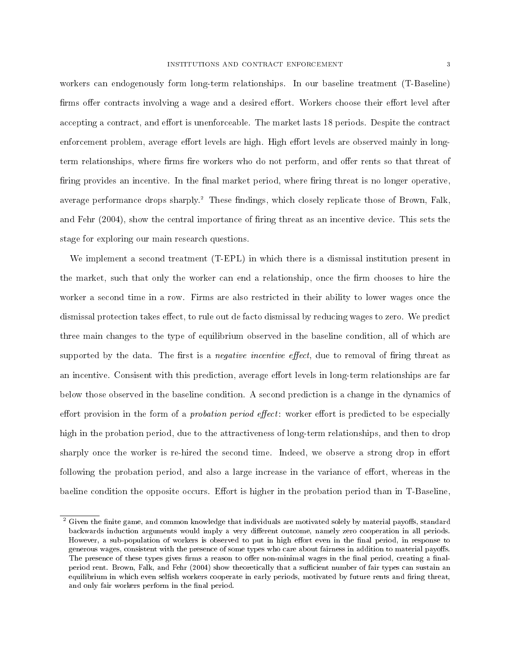workers can endogenously form long-term relationships. In our baseline treatment (T-Baseline) firms offer contracts involving a wage and a desired effort. Workers choose their effort level after accepting a contract, and effort is unenforceable. The market lasts 18 periods. Despite the contract enforcement problem, average effort levels are high. High effort levels are observed mainly in longterm relationships, where firms fire workers who do not perform, and offer rents so that threat of firing provides an incentive. In the final market period, where firing threat is no longer operative, average performance drops sharply.<sup>2</sup> These findings, which closely replicate those of Brown, Falk, and Fehr (2004), show the central importance of firing threat as an incentive device. This sets the stage for exploring our main research questions.

We implement a second treatment (T-EPL) in which there is a dismissal institution present in the market, such that only the worker can end a relationship, once the firm chooses to hire the worker a second time in a row. Firms are also restricted in their ability to lower wages once the dismissal protection takes effect, to rule out de facto dismissal by reducing wages to zero. We predict three main changes to the type of equilibrium observed in the baseline condition, all of which are supported by the data. The first is a *negative incentive effect*, due to removal of firing threat as an incentive. Consisent with this prediction, average effort levels in long-term relationships are far below those observed in the baseline condition. A second prediction is a change in the dynamics of effort provision in the form of a *probation period effect*: worker effort is predicted to be especially high in the probation period, due to the attractiveness of long-term relationships, and then to drop sharply once the worker is re-hired the second time. Indeed, we observe a strong drop in effort following the probation period, and also a large increase in the variance of effort, whereas in the baeline condition the opposite occurs. Effort is higher in the probation period than in T-Baseline,

 $2$  Given the finite game, and common knowledge that individuals are motivated solely by material payoffs, standard backwards induction arguments would imply a very different outcome, namely zero cooperation in all periods. However, a sub-population of workers is observed to put in high effort even in the final period, in response to generous wages, consistent with the presence of some types who care about fairness in addition to material payoffs. The presence of these types gives firms a reason to offer non-minimal wages in the final period, creating a finalperiod rent. Brown, Falk, and Fehr (2004) show theoretically that a sufficient number of fair types can sustain an equilibrium in which even selfish workers cooperate in early periods, motivated by future rents and firing threat, and only fair workers perform in the final period.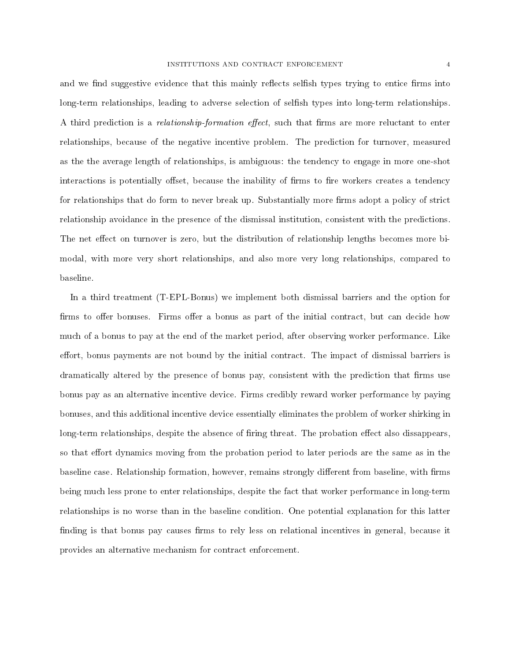and we find suggestive evidence that this mainly reflects selfish types trying to entice firms into long-term relationships, leading to adverse selection of selfish types into long-term relationships. A third prediction is a *relationship-formation effect*, such that firms are more reluctant to enter relationships, because of the negative incentive problem. The prediction for turnover, measured as the the average length of relationships, is ambiguous: the tendency to engage in more one-shot interactions is potentially offset, because the inability of firms to fire workers creates a tendency for relationships that do form to never break up. Substantially more firms adopt a policy of strict relationship avoidance in the presence of the dismissal institution, consistent with the predictions. The net effect on turnover is zero, but the distribution of relationship lengths becomes more bimodal, with more very short relationships, and also more very long relationships, compared to baseline.

In a third treatment (T-EPL-Bonus) we implement both dismissal barriers and the option for firms to offer bonuses. Firms offer a bonus as part of the initial contract, but can decide how much of a bonus to pay at the end of the market period, after observing worker performance. Like effort, bonus payments are not bound by the initial contract. The impact of dismissal barriers is dramatically altered by the presence of bonus pay, consistent with the prediction that firms use bonus pay as an alternative incentive device. Firms credibly reward worker performance by paying bonuses, and this additional incentive device essentially eliminates the problem of worker shirking in long-term relationships, despite the absence of firing threat. The probation effect also dissappears, so that effort dynamics moving from the probation period to later periods are the same as in the baseline case. Relationship formation, however, remains strongly different from baseline, with firms being much less prone to enter relationships, despite the fact that worker performance in long-term relationships is no worse than in the baseline condition. One potential explanation for this latter finding is that bonus pay causes firms to rely less on relational incentives in general, because it provides an alternative mechanism for contract enforcement.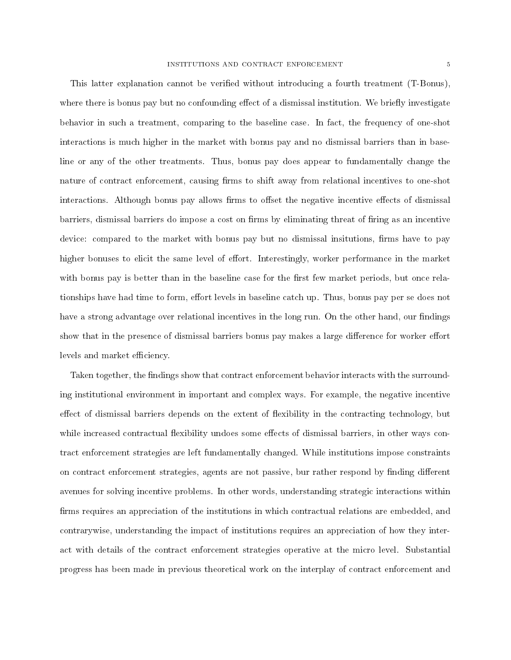This latter explanation cannot be verified without introducing a fourth treatment (T-Bonus). where there is bonus pay but no confounding effect of a dismissal institution. We briefly investigate behavior in such a treatment, comparing to the baseline case. In fact, the frequency of one-shot interactions is much higher in the market with bonus pay and no dismissal barriers than in baseline or any of the other treatments. Thus, bonus pay does appear to fundamentally change the nature of contract enforcement, causing firms to shift away from relational incentives to one-shot interactions. Although bonus pay allows firms to offset the negative incentive effects of dismissal barriers, dismissal barriers do impose a cost on firms by eliminating threat of firing as an incentive device: compared to the market with bonus pay but no dismissal insitutions, firms have to pay higher bonuses to elicit the same level of effort. Interestingly, worker performance in the market with bonus pay is better than in the baseline case for the first few market periods, but once relationships have had time to form, effort levels in baseline catch up. Thus, bonus pay per se does not have a strong advantage over relational incentives in the long run. On the other hand, our findings show that in the presence of dismissal barriers bonus pay makes a large difference for worker effort levels and market efficiency.

Taken together, the findings show that contract enforcement behavior interacts with the surrounding institutional environment in important and complex ways. For example, the negative incentive effect of dismissal barriers depends on the extent of flexibility in the contracting technology, but while increased contractual flexibility undoes some effects of dismissal barriers, in other ways contract enforcement strategies are left fundamentally changed. While institutions impose constraints on contract enforcement strategies, agents are not passive, bur rather respond by finding different avenues for solving incentive problems. In other words, understanding strategic interactions within firms requires an appreciation of the institutions in which contractual relations are embedded, and contrarywise, understanding the impact of institutions requires an appreciation of how they interact with details of the contract enforcement strategies operative at the micro level. Substantial progress has been made in previous theoretical work on the interplay of contract enforcement and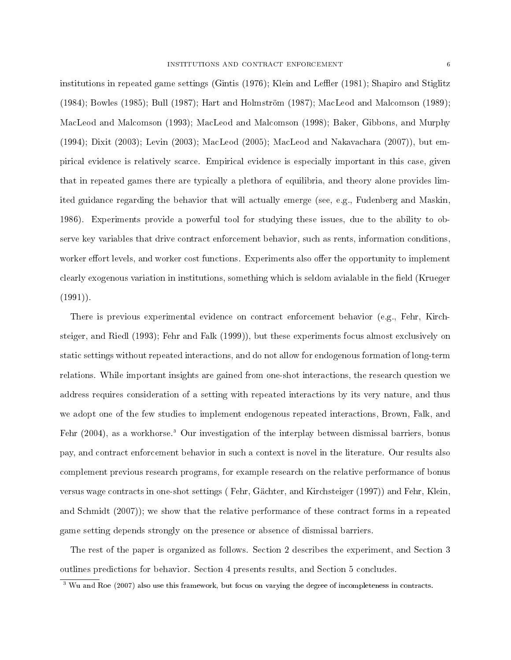institutions in repeated game settings (Gintis (1976); Klein and Leffler (1981); Shapiro and Stiglitz (1984); Bowles (1985); Bull (1987); Hart and Holmström (1987); MacLeod and Malcomson (1989); MacLeod and Malcomson (1993); MacLeod and Malcomson (1998); Baker, Gibbons, and Murphy (1994); Dixit (2003); Levin (2003); MacLeod (2005); MacLeod and Nakavachara (2007)), but empirical evidence is relatively scarce. Empirical evidence is especially important in this case, given that in repeated games there are typically a plethora of equilibria, and theory alone provides limited guidance regarding the behavior that will actually emerge (see, e.g., Fudenberg and Maskin, 1986). Experiments provide a powerful tool for studying these issues, due to the ability to observe key variables that drive contract enforcement behavior, such as rents, information conditions, worker effort levels, and worker cost functions. Experiments also offer the opportunity to implement clearly exogenous variation in institutions, something which is seldom avialable in the field (Krueger  $(1991)$ .

There is previous experimental evidence on contract enforcement behavior (e.g., Fehr, Kirchsteiger, and Riedl (1993); Fehr and Falk (1999)), but these experiments focus almost exclusively on static settings without repeated interactions, and do not allow for endogenous formation of long-term relations. While important insights are gained from one-shot interactions, the research question we address requires consideration of a setting with repeated interactions by its very nature, and thus we adopt one of the few studies to implement endogenous repeated interactions, Brown, Falk, and Fehr (2004), as a workhorse.<sup>3</sup> Our investigation of the interplay between dismissal barriers, bonus pay, and contract enforcement behavior in such a context is novel in the literature. Our results also complement previous research programs, for example research on the relative performance of bonus versus wage contracts in one-shot settings ( Fehr, Gächter, and Kirchsteiger (1997)) and Fehr, Klein, and Schmidt (2007)); we show that the relative performance of these contract forms in a repeated game setting depends strongly on the presence or absence of dismissal barriers.

The rest of the paper is organized as follows. Section 2 describes the experiment, and Section 3 outlines predictions for behavior. Section 4 presents results, and Section 5 concludes.

<sup>&</sup>lt;sup>3</sup> Wu and Roe (2007) also use this framework, but focus on varying the degree of incompleteness in contracts.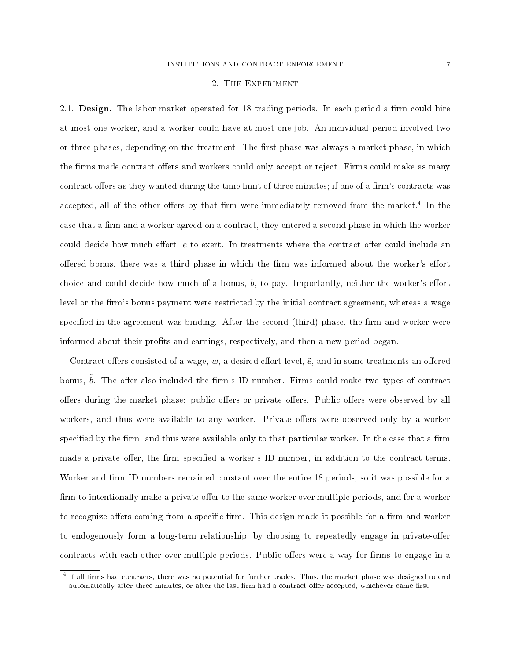#### 2. The Experiment

2.1. **Design.** The labor market operated for 18 trading periods. In each period a firm could hire at most one worker, and a worker could have at most one job. An individual period involved two or three phases, depending on the treatment. The first phase was always a market phase, in which the firms made contract offers and workers could only accept or reject. Firms could make as many contract offers as they wanted during the time limit of three minutes; if one of a firm's contracts was accepted, all of the other offers by that firm were immediately removed from the market.<sup>4</sup> In the case that a firm and a worker agreed on a contract, they entered a second phase in which the worker could decide how much effort,  $e$  to exert. In treatments where the contract offer could include an offered bonus, there was a third phase in which the firm was informed about the worker's effort choice and could decide how much of a bonus,  $b$ , to pay. Importantly, neither the worker's effort level or the firm's bonus payment were restricted by the initial contract agreement, whereas a wage specified in the agreement was binding. After the second (third) phase, the firm and worker were informed about their profits and earnings, respectively, and then a new period began.

Contract offers consisted of a wage, w, a desired effort level,  $\tilde{e}$ , and in some treatments an offered bonus,  $b$ . The offer also included the firm's ID number. Firms could make two types of contract offers during the market phase: public offers or private offers. Public offers were observed by all workers, and thus were available to any worker. Private offers were observed only by a worker specified by the firm, and thus were available only to that particular worker. In the case that a firm made a private offer, the firm specified a worker's ID number, in addition to the contract terms. Worker and firm ID numbers remained constant over the entire 18 periods, so it was possible for a firm to intentionally make a private offer to the same worker over multiple periods, and for a worker to recognize offers coming from a specific firm. This design made it possible for a firm and worker to endogenously form a long-term relationship, by choosing to repeatedly engage in private-offer contracts with each other over multiple periods. Public offers were a way for firms to engage in a

<sup>&</sup>lt;sup>4</sup> If all firms had contracts, there was no potential for further trades. Thus, the market phase was designed to end automatically after three minutes, or after the last firm had a contract offer accepted, whichever came first.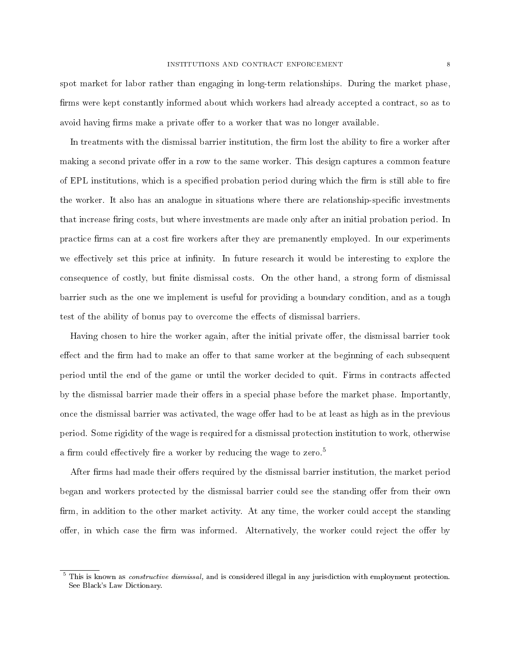spot market for labor rather than engaging in long-term relationships. During the market phase, firms were kept constantly informed about which workers had already accepted a contract, so as to avoid having firms make a private offer to a worker that was no longer available.

In treatments with the dismissal barrier institution, the firm lost the ability to fire a worker after making a second private offer in a row to the same worker. This design captures a common feature of EPL institutions, which is a specified probation period during which the firm is still able to fire the worker. It also has an analogue in situations where there are relationship-specific investments that increase firing costs, but where investments are made only after an initial probation period. In practice firms can at a cost fire workers after they are premanently employed. In our experiments we effectively set this price at infinity. In future research it would be interesting to explore the consequence of costly, but finite dismissal costs. On the other hand, a strong form of dismissal barrier such as the one we implement is useful for providing a boundary condition, and as a tough test of the ability of bonus pay to overcome the effects of dismissal barriers.

Having chosen to hire the worker again, after the initial private offer, the dismissal barrier took effect and the firm had to make an offer to that same worker at the beginning of each subsequent period until the end of the game or until the worker decided to quit. Firms in contracts affected by the dismissal barrier made their offers in a special phase before the market phase. Importantly, once the dismissal barrier was activated, the wage offer had to be at least as high as in the previous period. Some rigidity of the wage is required for a dismissal protection institution to work, otherwise a firm could effectively fire a worker by reducing the wage to zero.<sup>5</sup>

After firms had made their offers required by the dismissal barrier institution, the market period began and workers protected by the dismissal barrier could see the standing offer from their own firm, in addition to the other market activity. At any time, the worker could accept the standing offer, in which case the firm was informed. Alternatively, the worker could reject the offer by

<sup>&</sup>lt;sup>5</sup> This is known as *constructive dismissal*, and is considered illegal in any jurisdiction with employment protection. See Black's Law Dictionary.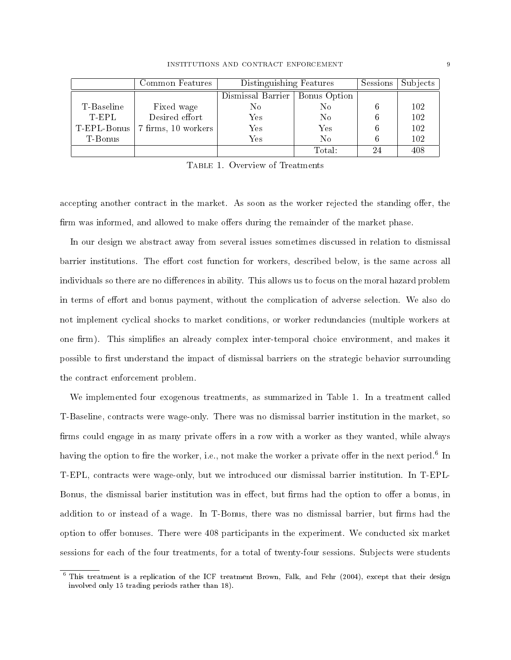|             | Common Features     | Distinguishing Features          | Sessions | Subjects |     |
|-------------|---------------------|----------------------------------|----------|----------|-----|
|             |                     | Dismissal Barrier   Bonus Option |          |          |     |
| T-Baseline  | Fixed wage          | No.                              | No       |          | 102 |
| T-EPL       | Desired effort      | $\operatorname{Yes}$             | No       |          | 102 |
| T-EPL-Bonus | 7 firms, 10 workers | $\operatorname{Yes}$             | Yes      |          | 102 |
| T-Bonus     |                     | Yes                              | $\rm No$ |          | 102 |
|             |                     |                                  | Total:   | 24       | 408 |

Table 1. Overview of Treatments

accepting another contract in the market. As soon as the worker rejected the standing offer, the firm was informed, and allowed to make offers during the remainder of the market phase.

In our design we abstract away from several issues sometimes discussed in relation to dismissal barrier institutions. The effort cost function for workers, described below, is the same across all individuals so there are no differences in ability. This allows us to focus on the moral hazard problem in terms of effort and bonus payment, without the complication of adverse selection. We also do not implement cyclical shocks to market conditions, or worker redundancies (multiple workers at one firm). This simplifies an already complex inter-temporal choice environment, and makes it possible to first understand the impact of dismissal barriers on the strategic behavior surrounding the contract enforcement problem.

We implemented four exogenous treatments, as summarized in Table 1. In a treatment called T-Baseline, contracts were wage-only. There was no dismissal barrier institution in the market, so firms could engage in as many private offers in a row with a worker as they wanted, while always having the option to fire the worker, i.e., not make the worker a private offer in the next period.<sup>6</sup> In T-EPL, contracts were wage-only, but we introduced our dismissal barrier institution. In T-EPL-Bonus, the dismissal barier institution was in effect, but firms had the option to offer a bonus, in addition to or instead of a wage. In T-Bonus, there was no dismissal barrier, but firms had the option to offer bonuses. There were 408 participants in the experiment. We conducted six market sessions for each of the four treatments, for a total of twenty-four sessions. Subjects were students

<sup>6</sup> This treatment is a replication of the ICF treatment Brown, Falk, and Fehr (2004), except that their design involved only 15 trading periods rather than 18).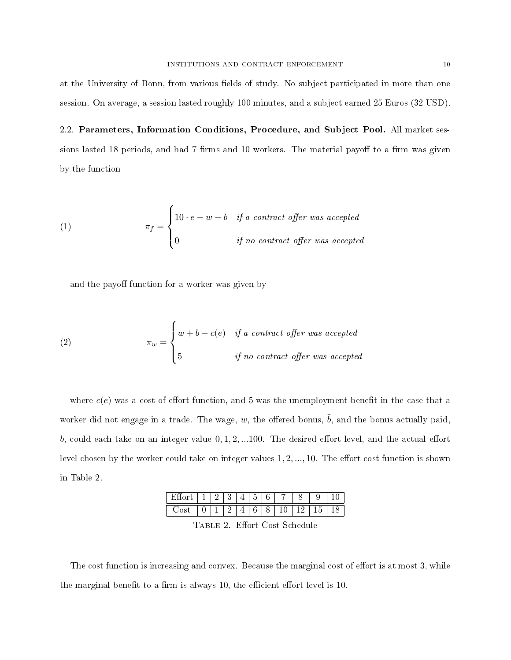at the University of Bonn, from various fields of study. No subject participated in more than one session. On average, a session lasted roughly 100 minutes, and a subject earned 25 Euros (32 USD).

2.2. Parameters, Information Conditions, Procedure, and Subject Pool. All market sessions lasted 18 periods, and had 7 firms and 10 workers. The material payoff to a firm was given by the function

(1) 
$$
\pi_f = \begin{cases} 10 \cdot e - w - b & \text{if a contract offer was accepted} \\ 0 & \text{if no contract offer was accepted} \end{cases}
$$

and the payoff function for a worker was given by

(2) 
$$
\pi_w = \begin{cases} w + b - c(e) & \text{if a contract offer was accepted} \\ 5 & \text{if no contract offer was accepted} \end{cases}
$$

where  $c(e)$  was a cost of effort function, and 5 was the unemployment benefit in the case that a worker did not engage in a trade. The wage, w, the offered bonus,  $\tilde{b}$ , and the bonus actually paid, b, could each take on an integer value  $0, 1, 2, ...$ 100. The desired effort level, and the actual effort level chosen by the worker could take on integer values  $1, 2, ..., 10$ . The effort cost function is shown in Table 2.

| - |   | ◠ |   | ۳ | $\epsilon$ |     |  |
|---|---|---|---|---|------------|-----|--|
| ◡ | ÷ | _ | _ | v |            | 12. |  |

TABLE 2. Effort Cost Schedule

The cost function is increasing and convex. Because the marginal cost of effort is at most 3, while the marginal benefit to a firm is always 10, the efficient effort level is 10.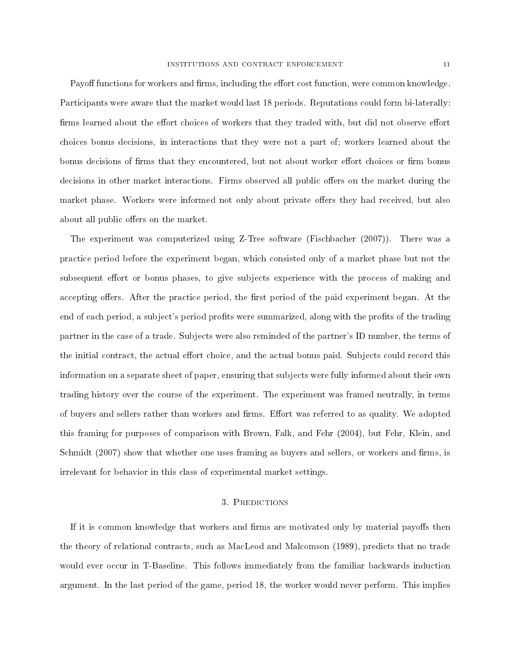Payoff functions for workers and firms, including the effort cost function, were common knowledge. Participants were aware that the market would last 18 periods. Reputations could form bi-laterally: firms learned about the effort choices of workers that they traded with, but did not observe effort choices bonus decisions, in interactions that they were not a part of; workers learned about the bonus decisions of firms that they encountered, but not about worker effort choices or firm bonus decisions in other market interactions. Firms observed all public offers on the market during the market phase. Workers were informed not only about private offers they had received, but also about all public offers on the market.

The experiment was computerized using Z-Tree software (Fischbacher (2007)). There was a practice period before the experiment began, which consisted only of a market phase but not the subsequent effort or bonus phases, to give subjects experience with the process of making and accepting offers. After the practice period, the first period of the paid experiment began. At the end of each period, a subject's period profits were summarized, along with the profits of the trading partner in the case of a trade. Subjects were also reminded of the partner's ID number, the terms of the initial contract, the actual effort choice, and the actual bonus paid. Subjects could record this information on a separate sheet of paper, ensuring that subjects were fully informed about their own trading history over the course of the experiment. The experiment was framed neutrally, in terms of buyers and sellers rather than workers and firms. Effort was referred to as quality. We adopted this framing for purposes of comparison with Brown, Falk, and Fehr (2004), but Fehr, Klein, and Schmidt  $(2007)$  show that whether one uses framing as buyers and sellers, or workers and firms, is irrelevant for behavior in this class of experimental market settings.

## 3. Predictions

If it is common knowledge that workers and firms are motivated only by material payoffs then the theory of relational contracts, such as MacLeod and Malcomson (1989), predicts that no trade would ever occur in T-Baseline. This follows immediately from the familiar backwards induction argument. In the last period of the game, period 18, the worker would never perform. This implies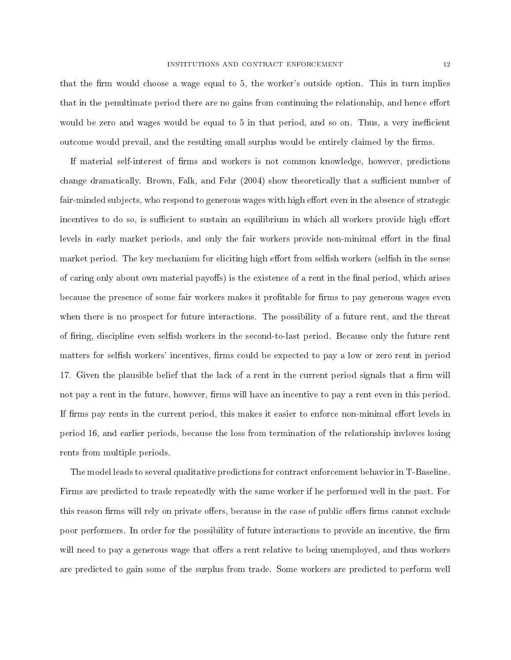that the firm would choose a wage equal to 5, the worker's outside option. This in turn implies that in the penultimate period there are no gains from continuing the relationship, and hence effort would be zero and wages would be equal to 5 in that period, and so on. Thus, a very inefficient outcome would prevail, and the resulting small surplus would be entirely claimed by the firms.

If material self-interest of firms and workers is not common knowledge, however, predictions change dramatically. Brown, Falk, and Fehr (2004) show theoretically that a sufficient number of fair-minded subjects, who respond to generous wages with high effort even in the absence of strategic incentives to do so, is sufficient to sustain an equilibrium in which all workers provide high effort levels in early market periods, and only the fair workers provide non-minimal effort in the final market period. The key mechanism for eliciting high effort from selfish workers (selfish in the sense of caring only about own material payoffs) is the existence of a rent in the final period, which arises because the presence of some fair workers makes it profitable for firms to pay generous wages even when there is no prospect for future interactions. The possibility of a future rent, and the threat of firing, discipline even selfish workers in the second-to-last period. Because only the future rent matters for selfish workers' incentives, firms could be expected to pay a low or zero rent in period 17. Given the plausible belief that the lack of a rent in the current period signals that a firm will not pay a rent in the future, however, firms will have an incentive to pay a rent even in this period. If firms pay rents in the current period, this makes it easier to enforce non-minimal effort levels in period 16, and earlier periods, because the loss from termination of the relationship invloves losing rents from multiple periods.

The model leads to several qualitative predictions for contract enforcement behavior in T-Baseline. Firms are predicted to trade repeatedly with the same worker if he performed well in the past. For this reason firms will rely on private offers, because in the case of public offers firms cannot exclude poor performers. In order for the possibility of future interactions to provide an incentive, the firm will need to pay a generous wage that offers a rent relative to being unemployed, and thus workers are predicted to gain some of the surplus from trade. Some workers are predicted to perform well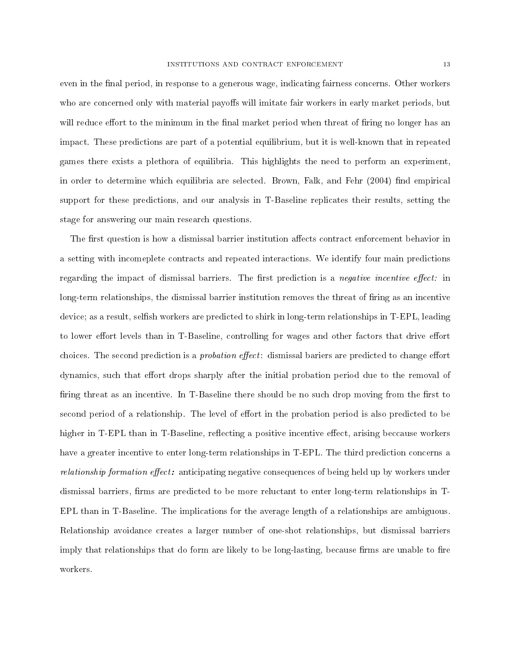even in the final period, in response to a generous wage, indicating fairness concerns. Other workers who are concerned only with material payoffs will imitate fair workers in early market periods, but will reduce effort to the minimum in the final market period when threat of firing no longer has an impact. These predictions are part of a potential equilibrium, but it is well-known that in repeated games there exists a plethora of equilibria. This highlights the need to perform an experiment, in order to determine which equilibria are selected. Brown, Falk, and Fehr (2004) find empirical support for these predictions, and our analysis in T-Baseline replicates their results, setting the stage for answering our main research questions.

The first question is how a dismissal barrier institution affects contract enforcement behavior in a setting with incomeplete contracts and repeated interactions. We identify four main predictions regarding the impact of dismissal barriers. The first prediction is a *negative incentive effect*: in long-term relationships, the dismissal barrier institution removes the threat of firing as an incentive device; as a result, selfish workers are predicted to shirk in long-term relationships in T-EPL, leading to lower effort levels than in T-Baseline, controlling for wages and other factors that drive effort choices. The second prediction is a *probation effect*: dismissal bariers are predicted to change effort dynamics, such that effort drops sharply after the initial probation period due to the removal of firing threat as an incentive. In T-Baseline there should be no such drop moving from the first to second period of a relationship. The level of effort in the probation period is also predicted to be higher in T-EPL than in T-Baseline, reflecting a positive incentive effect, arising beccause workers have a greater incentive to enter long-term relationships in T-EPL. The third prediction concerns a  $relationship$  formation effect: anticipating negative consequences of being held up by workers under dismissal barriers, firms are predicted to be more reluctant to enter long-term relationships in T-EPL than in T-Baseline. The implications for the average length of a relationships are ambiguous. Relationship avoidance creates a larger number of one-shot relationships, but dismissal barriers imply that relationships that do form are likely to be long-lasting, because firms are unable to fire workers.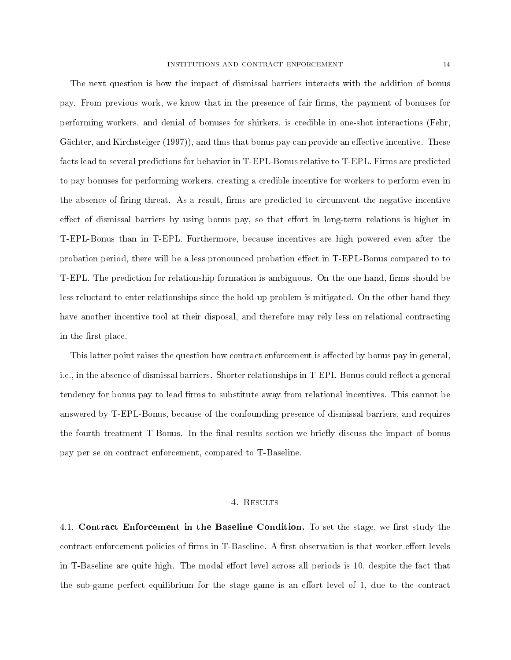The next question is how the impact of dismissal barriers interacts with the addition of bonus pay. From previous work, we know that in the presence of fair firms, the payment of bonuses for performing workers, and denial of bonuses for shirkers, is credible in one-shot interactions (Fehr, Gächter, and Kirchsteiger (1997)), and thus that bonus pay can provide an effective incentive. These facts lead to several predictions for behavior in T-EPL-Bonus relative to T-EPL. Firms are predicted to pay bonuses for performing workers, creating a credible incentive for workers to perform even in the absence of firing threat. As a result, firms are predicted to circumvent the negative incentive effect of dismissal barriers by using bonus pay, so that effort in long-term relations is higher in T-EPL-Bonus than in T-EPL. Furthermore, because incentives are high powered even after the probation period, there will be a less pronounced probation effect in T-EPL-Bonus compared to to T-EPL. The prediction for relationship formation is ambiguous. On the one hand, firms should be less reluctant to enter relationships since the hold-up problem is mitigated. On the other hand they have another incentive tool at their disposal, and therefore may rely less on relational contracting in the first place.

This latter point raises the question how contract enforcement is affected by bonus pay in general, i.e., in the absence of dismissal barriers. Shorter relationships in T-EPL-Bonus could reflect a general tendency for bonus pay to lead firms to substitute away from relational incentives. This cannot be answered by T-EPL-Bonus, because of the confounding presence of dismissal barriers, and requires the fourth treatment T-Bonus. In the final results section we briefly discuss the impact of bonus pay per se on contract enforcement, compared to T-Baseline.

#### 4. RESULTS

4.1. Contract Enforcement in the Baseline Condition. To set the stage, we first study the contract enforcement policies of firms in T-Baseline. A first observation is that worker effort levels in T-Baseline are quite high. The modal effort level across all periods is 10, despite the fact that the sub-game perfect equilibrium for the stage game is an effort level of  $1$ , due to the contract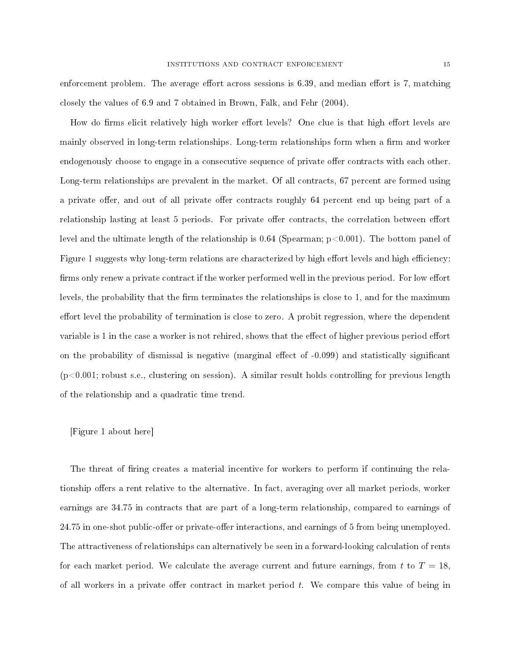enforcement problem. The average effort across sessions is  $6.39$ , and median effort is 7, matching closely the values of 6.9 and 7 obtained in Brown, Falk, and Fehr (2004).

How do firms elicit relatively high worker effort levels? One clue is that high effort levels are mainly observed in long-term relationships. Long-term relationships form when a firm and worker endogenously choose to engage in a consecutive sequence of private offer contracts with each other. Long-term relationships are prevalent in the market. Of all contracts, 67 percent are formed using a private offer, and out of all private offer contracts roughly 64 percent end up being part of a relationship lasting at least 5 periods. For private offer contracts, the correlation between effort level and the ultimate length of the relationship is  $0.64$  (Spearman;  $p<0.001$ ). The bottom panel of Figure 1 suggests why long-term relations are characterized by high effort levels and high efficiency: firms only renew a private contract if the worker performed well in the previous period. For low effort levels, the probability that the firm terminates the relationships is close to  $1$ , and for the maximum effort level the probability of termination is close to zero. A probit regression, where the dependent variable is 1 in the case a worker is not rehired, shows that the effect of higher previous period effort on the probability of dismissal is negative (marginal effect of  $-0.099$ ) and statistically significant  $(p<0.001$ ; robust s.e., clustering on session). A similar result holds controlling for previous length of the relationship and a quadratic time trend.

## [Figure 1 about here]

The threat of firing creates a material incentive for workers to perform if continuing the relationship offers a rent relative to the alternative. In fact, averaging over all market periods, worker earnings are 34.75 in contracts that are part of a long-term relationship, compared to earnings of 24.75 in one-shot public-offer or private-offer interactions, and earnings of 5 from being unemployed. The attractiveness of relationships can alternatively be seen in a forward-looking calculation of rents for each market period. We calculate the average current and future earnings, from t to  $T = 18$ , of all workers in a private offer contract in market period  $t$ . We compare this value of being in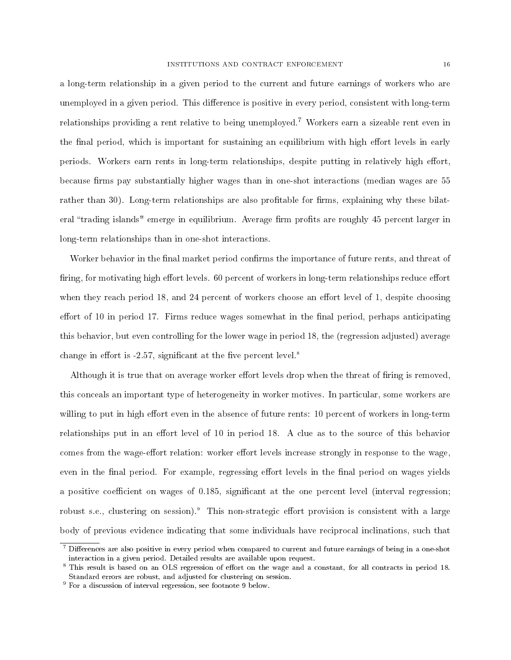a long-term relationship in a given period to the current and future earnings of workers who are unemployed in a given period. This difference is positive in every period, consistent with long-term relationships providing a rent relative to being unemployed.<sup>7</sup> Workers earn a sizeable rent even in the final period, which is important for sustaining an equilibrium with high effort levels in early periods. Workers earn rents in long-term relationships, despite putting in relatively high effort, because firms pay substantially higher wages than in one-shot interactions (median wages are 55 rather than 30). Long-term relationships are also profitable for firms, explaining why these bilateral "trading islands" emerge in equilibrium. Average firm profits are roughly 45 percent larger in long-term relationships than in one-shot interactions.

Worker behavior in the final market period confirms the importance of future rents, and threat of firing, for motivating high effort levels. 60 percent of workers in long-term relationships reduce effort when they reach period 18, and 24 percent of workers choose an effort level of 1, despite choosing effort of 10 in period 17. Firms reduce wages somewhat in the final period, perhaps anticipating this behavior, but even controlling for the lower wage in period 18, the (regression adjusted) average change in effort is -2.57, significant at the five percent level.<sup>8</sup>

Although it is true that on average worker effort levels drop when the threat of firing is removed, this conceals an important type of heterogeneity in worker motives. In particular, some workers are willing to put in high effort even in the absence of future rents: 10 percent of workers in long-term relationships put in an effort level of 10 in period 18. A clue as to the source of this behavior comes from the wage-effort relation: worker effort levels increase strongly in response to the wage, even in the final period. For example, regressing effort levels in the final period on wages yields a positive coefficient on wages of  $0.185$ , significant at the one percent level (interval regression; robust s.e., clustering on session).<sup>9</sup> This non-strategic effort provision is consistent with a large body of previous evidence indicating that some individuals have reciprocal inclinations, such that

 $\frac{7}{1}$  Differences are also positive in every period when compared to current and future earnings of being in a one-shot interaction in a given period. Detailed results are available upon request.

<sup>&</sup>lt;sup>8</sup> This result is based on an OLS regression of effort on the wage and a constant, for all contracts in period 18. Standard errors are robust, and adjusted for clustering on session.

<sup>9</sup> For a discussion of interval regression, see footnote 9 below.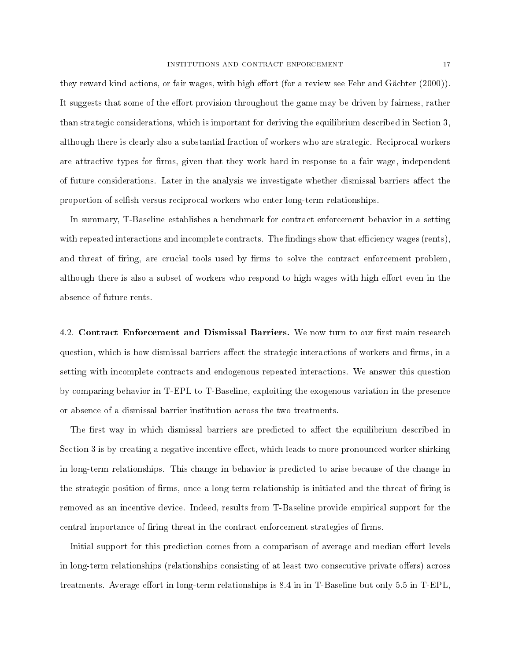they reward kind actions, or fair wages, with high effort (for a review see Fehr and Gächter  $(2000)$ ). It suggests that some of the effort provision throughout the game may be driven by fairness, rather than strategic considerations, which is important for deriving the equilibrium described in Section 3, although there is clearly also a substantial fraction of workers who are strategic. Reciprocal workers are attractive types for firms, given that they work hard in response to a fair wage, independent of future considerations. Later in the analysis we investigate whether dismissal barriers affect the proportion of selsh versus reciprocal workers who enter long-term relationships.

In summary, T-Baseline establishes a benchmark for contract enforcement behavior in a setting with repeated interactions and incomplete contracts. The findings show that efficiency wages (rents), and threat of firing, are crucial tools used by firms to solve the contract enforcement problem, although there is also a subset of workers who respond to high wages with high effort even in the absence of future rents.

4.2. Contract Enforcement and Dismissal Barriers. We now turn to our first main research question, which is how dismissal barriers affect the strategic interactions of workers and firms, in a setting with incomplete contracts and endogenous repeated interactions. We answer this question by comparing behavior in T-EPL to T-Baseline, exploiting the exogenous variation in the presence or absence of a dismissal barrier institution across the two treatments.

The first way in which dismissal barriers are predicted to affect the equilibrium described in Section 3 is by creating a negative incentive effect, which leads to more pronounced worker shirking in long-term relationships. This change in behavior is predicted to arise because of the change in the strategic position of firms, once a long-term relationship is initiated and the threat of firing is removed as an incentive device. Indeed, results from T-Baseline provide empirical support for the central importance of firing threat in the contract enforcement strategies of firms.

Initial support for this prediction comes from a comparison of average and median effort levels in long-term relationships (relationships consisting of at least two consecutive private offers) across treatments. Average effort in long-term relationships is  $8.4$  in in T-Baseline but only  $5.5$  in T-EPL,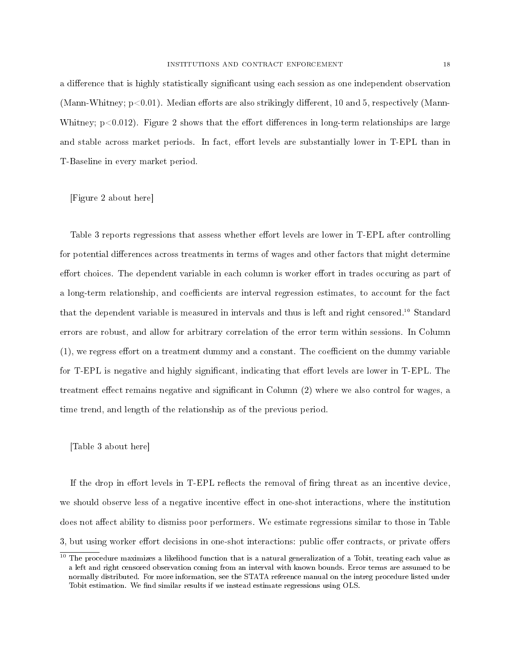a difference that is highly statistically significant using each session as one independent observation (Mann-Whitney;  $p<0.01$ ). Median efforts are also strikingly different, 10 and 5, respectively (Mann-Whitney;  $p<0.012$ ). Figure 2 shows that the effort differences in long-term relationships are large and stable across market periods. In fact, effort levels are substantially lower in T-EPL than in T-Baseline in every market period.

[Figure 2 about here]

Table 3 reports regressions that assess whether effort levels are lower in T-EPL after controlling for potential differences across treatments in terms of wages and other factors that might determine effort choices. The dependent variable in each column is worker effort in trades occuring as part of a long-term relationship, and coefficients are interval regression estimates, to account for the fact that the dependent variable is measured in intervals and thus is left and right censored.<sup>10</sup> Standard errors are robust, and allow for arbitrary correlation of the error term within sessions. In Column  $(1)$ , we regress effort on a treatment dummy and a constant. The coefficient on the dummy variable for T-EPL is negative and highly significant, indicating that effort levels are lower in T-EPL. The treatment effect remains negative and significant in Column  $(2)$  where we also control for wages, a time trend, and length of the relationship as of the previous period.

[Table 3 about here]

If the drop in effort levels in  $T$ -EPL reflects the removal of firing threat as an incentive device, we should observe less of a negative incentive effect in one-shot interactions, where the institution does not affect ability to dismiss poor performers. We estimate regressions similar to those in Table 3, but using worker effort decisions in one-shot interactions: public offer contracts, or private offers

<sup>&</sup>lt;sup>10</sup> The procedure maximizes a likelihood function that is a natural generalization of a Tobit, treating each value as a left and right censored observation coming from an interval with known bounds. Error terms are assumed to be normally distributed. For more information, see the STATA reference manual on the intreg procedure listed under Tobit estimation. We find similar results if we instead estimate regressions using OLS.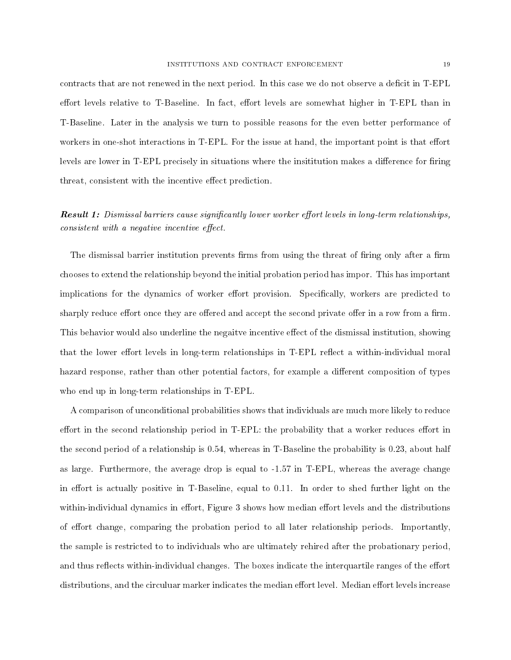contracts that are not renewed in the next period. In this case we do not observe a deficit in T-EPL effort levels relative to T-Baseline. In fact, effort levels are somewhat higher in T-EPL than in T-Baseline. Later in the analysis we turn to possible reasons for the even better performance of workers in one-shot interactions in T-EPL. For the issue at hand, the important point is that effort levels are lower in T-EPL precisely in situations where the insititution makes a difference for firing threat, consistent with the incentive effect prediction.

# **Result 1:** Dismissal barriers cause significantly lower worker effort levels in long-term relationships,  $consistent \ with \ a \ negative \ incentive \ effect.$

The dismissal barrier institution prevents firms from using the threat of firing only after a firm chooses to extend the relationship beyond the initial probation period has impor. This has important implications for the dynamics of worker effort provision. Specifically, workers are predicted to sharply reduce effort once they are offered and accept the second private offer in a row from a firm. This behavior would also underline the negaitve incentive effect of the dismissal institution, showing that the lower effort levels in long-term relationships in T-EPL reflect a within-individual moral hazard response, rather than other potential factors, for example a different composition of types who end up in long-term relationships in T-EPL.

A comparison of unconditional probabilities shows that individuals are much more likely to reduce effort in the second relationship period in T-EPL: the probability that a worker reduces effort in the second period of a relationship is 0.54, whereas in T-Baseline the probability is 0.23, about half as large. Furthermore, the average drop is equal to -1.57 in T-EPL, whereas the average change in effort is actually positive in T-Baseline, equal to  $0.11$ . In order to shed further light on the within-individual dynamics in effort, Figure 3 shows how median effort levels and the distributions of effort change, comparing the probation period to all later relationship periods. Importantly, the sample is restricted to to individuals who are ultimately rehired after the probationary period, and thus reflects within-individual changes. The boxes indicate the interquartile ranges of the effort distributions, and the circuluar marker indicates the median effort level. Median effort levels increase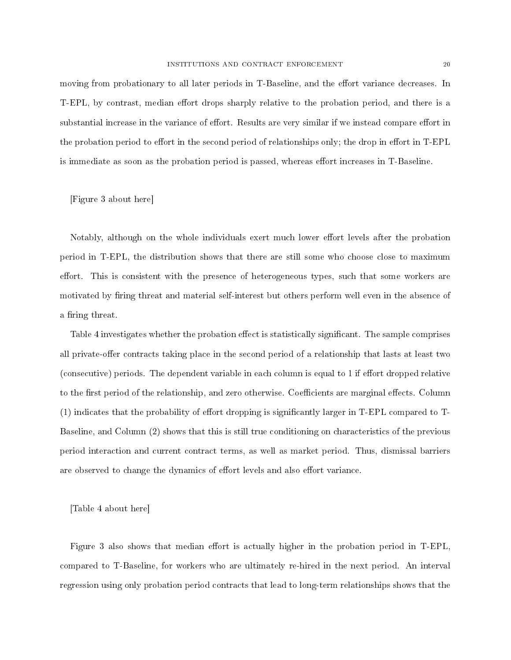moving from probationary to all later periods in T-Baseline, and the effort variance decreases. In T-EPL, by contrast, median effort drops sharply relative to the probation period, and there is a substantial increase in the variance of effort. Results are very similar if we instead compare effort in the probation period to effort in the second period of relationships only; the drop in effort in T-EPL is immediate as soon as the probation period is passed, whereas effort increases in T-Baseline.

[Figure 3 about here]

Notably, although on the whole individuals exert much lower effort levels after the probation period in T-EPL, the distribution shows that there are still some who choose close to maximum effort. This is consistent with the presence of heterogeneous types, such that some workers are motivated by firing threat and material self-interest but others perform well even in the absence of a firing threat.

Table 4 investigates whether the probation effect is statistically significant. The sample comprises all private-offer contracts taking place in the second period of a relationship that lasts at least two (consecutive) periods. The dependent variable in each column is equal to 1 if effort dropped relative to the first period of the relationship, and zero otherwise. Coefficients are marginal effects. Column  $(1)$  indicates that the probability of effort dropping is significantly larger in T-EPL compared to T-Baseline, and Column (2) shows that this is still true conditioning on characteristics of the previous period interaction and current contract terms, as well as market period. Thus, dismissal barriers are observed to change the dynamics of effort levels and also effort variance.

[Table 4 about here]

Figure 3 also shows that median effort is actually higher in the probation period in T-EPL. compared to T-Baseline, for workers who are ultimately re-hired in the next period. An interval regression using only probation period contracts that lead to long-term relationships shows that the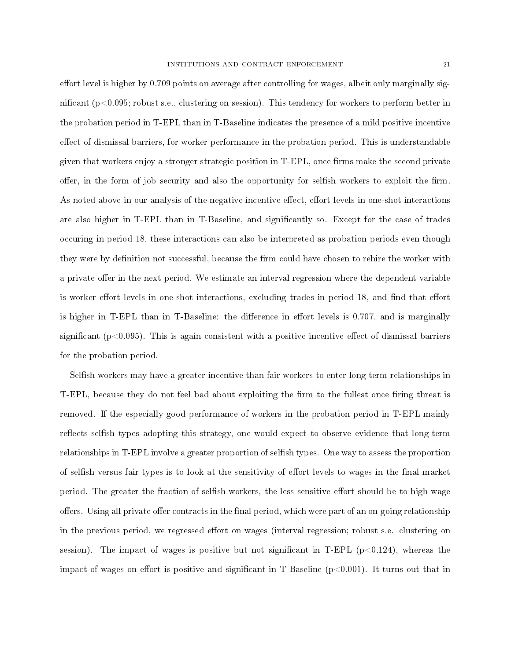effort level is higher by  $0.709$  points on average after controlling for wages, albeit only marginally significant (p<0.095; robust s.e., clustering on session). This tendency for workers to perform better in the probation period in T-EPL than in T-Baseline indicates the presence of a mild positive incentive effect of dismissal barriers, for worker performance in the probation period. This is understandable given that workers enjoy a stronger strategic position in T-EPL, once firms make the second private offer, in the form of job security and also the opportunity for selfish workers to exploit the firm. As noted above in our analysis of the negative incentive effect, effort levels in one-shot interactions are also higher in T-EPL than in T-Baseline, and signicantly so. Except for the case of trades occuring in period 18, these interactions can also be interpreted as probation periods even though they were by definition not successful, because the firm could have chosen to rehire the worker with a private offer in the next period. We estimate an interval regression where the dependent variable is worker effort levels in one-shot interactions, excluding trades in period 18, and find that effort is higher in T-EPL than in T-Baseline: the difference in effort levels is  $0.707$ , and is marginally significant ( $p<0.095$ ). This is again consistent with a positive incentive effect of dismissal barriers for the probation period.

Selfish workers may have a greater incentive than fair workers to enter long-term relationships in T-EPL, because they do not feel bad about exploiting the firm to the fullest once firing threat is removed. If the especially good performance of workers in the probation period in T-EPL mainly reflects selfish types adopting this strategy, one would expect to observe evidence that long-term relationships in T-EPL involve a greater proportion of selfish types. One way to assess the proportion of selfish versus fair types is to look at the sensitivity of effort levels to wages in the final market period. The greater the fraction of selfish workers, the less sensitive effort should be to high wage offers. Using all private offer contracts in the final period, which were part of an on-going relationship in the previous period, we regressed effort on wages (interval regression; robust s.e. clustering on session). The impact of wages is positive but not significant in T-EPL ( $p<0.124$ ), whereas the impact of wages on effort is positive and significant in T-Baseline  $(p<0.001)$ . It turns out that in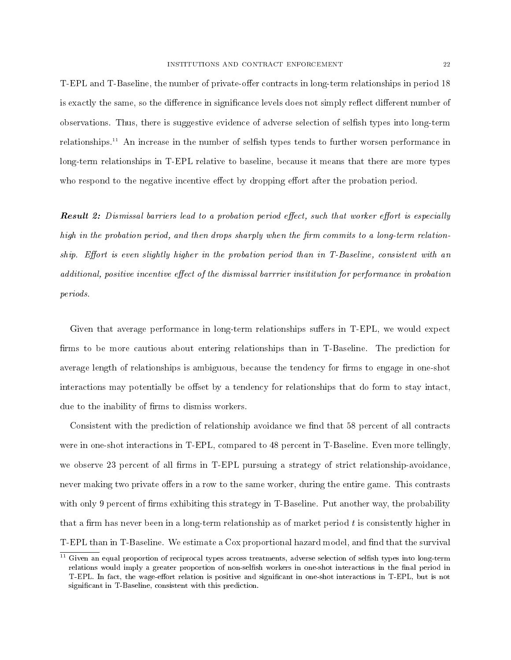T-EPL and T-Baseline, the number of private-offer contracts in long-term relationships in period 18 is exactly the same, so the difference in significance levels does not simply reflect different number of observations. Thus, there is suggestive evidence of adverse selection of selfish types into long-term relationships.<sup>11</sup> An increase in the number of selfish types tends to further worsen performance in long-term relationships in T-EPL relative to baseline, because it means that there are more types who respond to the negative incentive effect by dropping effort after the probation period.

**Result 2:** Dismissal barriers lead to a probation period effect, such that worker effort is especially high in the probation period, and then drops sharply when the firm commits to a long-term relationship. Effort is even slightly higher in the probation period than in  $T$ -Baseline, consistent with an additional, positive incentive effect of the dismissal barrrier insititution for performance in probation periods.

Given that average performance in long-term relationships suffers in T-EPL, we would expect firms to be more cautious about entering relationships than in T-Baseline. The prediction for average length of relationships is ambiguous, because the tendency for firms to engage in one-shot interactions may potentially be offset by a tendency for relationships that do form to stay intact, due to the inability of firms to dismiss workers.

Consistent with the prediction of relationship avoidance we find that 58 percent of all contracts were in one-shot interactions in T-EPL, compared to 48 percent in T-Baseline. Even more tellingly, we observe 23 percent of all firms in T-EPL pursuing a strategy of strict relationship-avoidance, never making two private offers in a row to the same worker, during the entire game. This contrasts with only 9 percent of firms exhibiting this strategy in T-Baseline. Put another way, the probability that a firm has never been in a long-term relationship as of market period  $t$  is consistently higher in T-EPL than in T-Baseline. We estimate a Cox proportional hazard model, and find that the survival

 $11$  Given an equal proportion of reciprocal types across treatments, adverse selection of selfish types into long-term relations would imply a greater proportion of non-selfish workers in one-shot interactions in the final period in T-EPL. In fact, the wage-effort relation is positive and significant in one-shot interactions in T-EPL, but is not significant in T-Baseline, consistent with this prediction.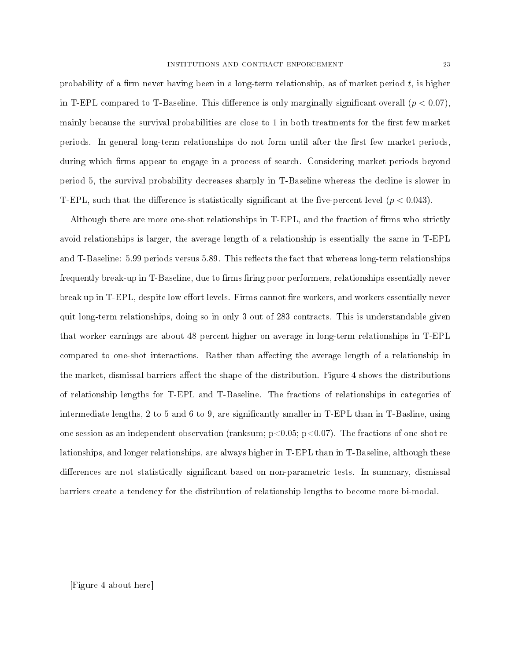probability of a firm never having been in a long-term relationship, as of market period  $t$ , is higher in T-EPL compared to T-Baseline. This difference is only marginally significant overall  $(p < 0.07)$ . mainly because the survival probabilities are close to 1 in both treatments for the first few market periods. In general long-term relationships do not form until after the first few market periods. during which firms appear to engage in a process of search. Considering market periods beyond period 5, the survival probability decreases sharply in T-Baseline whereas the decline is slower in T-EPL, such that the difference is statistically significant at the five-percent level  $(p < 0.043)$ .

Although there are more one-shot relationships in T-EPL, and the fraction of firms who strictly avoid relationships is larger, the average length of a relationship is essentially the same in T-EPL and T-Baseline: 5.99 periods versus 5.89. This reflects the fact that whereas long-term relationships frequently break-up in T-Baseline, due to firms firing poor performers, relationships essentially never break up in T-EPL, despite low effort levels. Firms cannot fire workers, and workers essentially never quit long-term relationships, doing so in only 3 out of 283 contracts. This is understandable given that worker earnings are about 48 percent higher on average in long-term relationships in T-EPL compared to one-shot interactions. Rather than affecting the average length of a relationship in the market, dismissal barriers affect the shape of the distribution. Figure 4 shows the distributions of relationship lengths for T-EPL and T-Baseline. The fractions of relationships in categories of intermediate lengths, 2 to 5 and 6 to 9, are signicantly smaller in T-EPL than in T-Basline, using one session as an independent observation (ranksum;  $p<0.05$ ;  $p<0.07$ ). The fractions of one-shot relationships, and longer relationships, are always higher in T-EPL than in T-Baseline, although these differences are not statistically significant based on non-parametric tests. In summary, dismissal barriers create a tendency for the distribution of relationship lengths to become more bi-modal.

### [Figure 4 about here]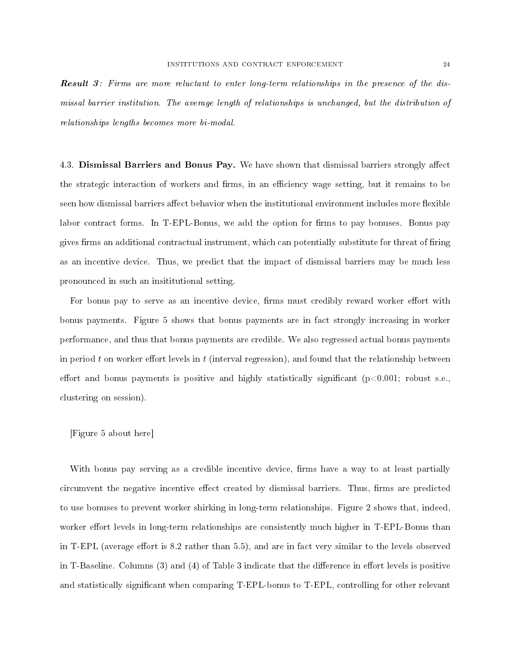Result 3: Firms are more reluctant to enter long-term relationships in the presence of the dismissal barrier institution. The average length of relationships is unchanged, but the distribution of relationships lengths becomes more bi-modal.

4.3. Dismissal Barriers and Bonus Pay. We have shown that dismissal barriers strongly affect the strategic interaction of workers and firms, in an efficiency wage setting, but it remains to be seen how dismissal barriers affect behavior when the institutional environment includes more flexible labor contract forms. In T-EPL-Bonus, we add the option for firms to pay bonuses. Bonus pay gives firms an additional contractual instrument, which can potentially substitute for threat of firing as an incentive device. Thus, we predict that the impact of dismissal barriers may be much less pronounced in such an insititutional setting.

For bonus pay to serve as an incentive device, firms must credibly reward worker effort with bonus payments. Figure 5 shows that bonus payments are in fact strongly increasing in worker performance, and thus that bonus payments are credible. We also regressed actual bonus payments in period t on worker effort levels in t (interval regression), and found that the relationship between effort and bonus payments is positive and highly statistically significant ( $p<0.001$ ; robust s.e., clustering on session).

### [Figure 5 about here]

With bonus pay serving as a credible incentive device, firms have a way to at least partially circumvent the negative incentive effect created by dismissal barriers. Thus, firms are predicted to use bonuses to prevent worker shirking in long-term relationships. Figure 2 shows that, indeed, worker effort levels in long-term relationships are consistently much higher in T-EPL-Bonus than in T-EPL (average effort is  $8.2$  rather than  $5.5$ ), and are in fact very similar to the levels observed in T-Baseline. Columns  $(3)$  and  $(4)$  of Table 3 indicate that the difference in effort levels is positive and statistically significant when comparing T-EPL-bonus to T-EPL, controlling for other relevant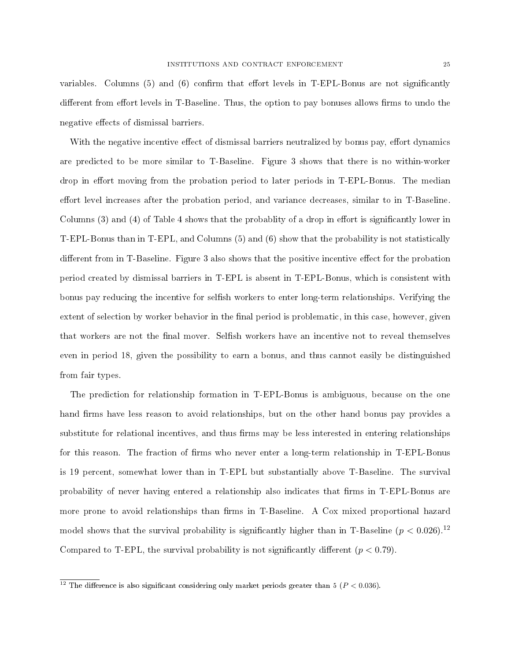variables. Columns  $(5)$  and  $(6)$  confirm that effort levels in T-EPL-Bonus are not significantly different from effort levels in T-Baseline. Thus, the option to pay bonuses allows firms to undo the negative effects of dismissal barriers.

With the negative incentive effect of dismissal barriers neutralized by bonus pay, effort dynamics are predicted to be more similar to T-Baseline. Figure 3 shows that there is no within-worker drop in effort moving from the probation period to later periods in T-EPL-Bonus. The median effort level increases after the probation period, and variance decreases, similar to in T-Baseline. Columns  $(3)$  and  $(4)$  of Table 4 shows that the probability of a drop in effort is significantly lower in T-EPL-Bonus than in T-EPL, and Columns (5) and (6) show that the probability is not statistically different from in T-Baseline. Figure 3 also shows that the positive incentive effect for the probation period created by dismissal barriers in T-EPL is absent in T-EPL-Bonus, which is consistent with bonus pay reducing the incentive for selfish workers to enter long-term relationships. Verifying the extent of selection by worker behavior in the final period is problematic, in this case, however, given that workers are not the final mover. Selfish workers have an incentive not to reveal themselves even in period 18, given the possibility to earn a bonus, and thus cannot easily be distinguished from fair types.

The prediction for relationship formation in T-EPL-Bonus is ambiguous, because on the one hand firms have less reason to avoid relationships, but on the other hand bonus pay provides a substitute for relational incentives, and thus firms may be less interested in entering relationships for this reason. The fraction of firms who never enter a long-term relationship in T-EPL-Bonus is 19 percent, somewhat lower than in T-EPL but substantially above T-Baseline. The survival probability of never having entered a relationship also indicates that firms in T-EPL-Bonus are more prone to avoid relationships than firms in T-Baseline. A Cox mixed proportional hazard model shows that the survival probability is significantly higher than in T-Baseline  $(p < 0.026)^{12}$ Compared to T-EPL, the survival probability is not significantly different  $(p < 0.79)$ .

<sup>&</sup>lt;sup>12</sup> The difference is also significant considering only market periods greater than 5 ( $P < 0.036$ ).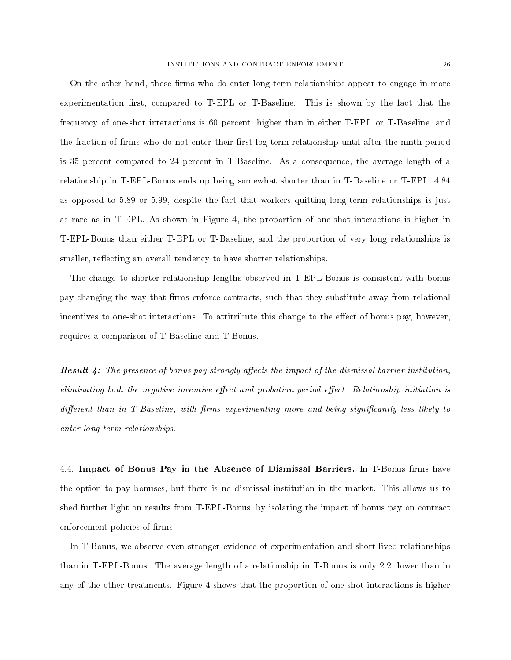On the other hand, those firms who do enter long-term relationships appear to engage in more experimentation first, compared to T-EPL or T-Baseline. This is shown by the fact that the frequency of one-shot interactions is 60 percent, higher than in either T-EPL or T-Baseline, and the fraction of firms who do not enter their first log-term relationship until after the ninth period is 35 percent compared to 24 percent in T-Baseline. As a consequence, the average length of a relationship in T-EPL-Bonus ends up being somewhat shorter than in T-Baseline or T-EPL, 4.84 as opposed to 5.89 or 5.99, despite the fact that workers quitting long-term relationships is just as rare as in T-EPL. As shown in Figure 4, the proportion of one-shot interactions is higher in T-EPL-Bonus than either T-EPL or T-Baseline, and the proportion of very long relationships is smaller, reflecting an overall tendency to have shorter relationships.

The change to shorter relationship lengths observed in T-EPL-Bonus is consistent with bonus pay changing the way that firms enforce contracts, such that they substitute away from relational incentives to one-shot interactions. To attitribute this change to the effect of bonus pay, however, requires a comparison of T-Baseline and T-Bonus.

**Result 4:** The presence of bonus pay strongly affects the impact of the dismissal barrier institution, eliminating both the negative incentive effect and probation period effect. Relationship initiation is  $differential$  than in T-Baseline, with firms experimenting more and being significantly less likely to enter long-term relationships.

4.4. Impact of Bonus Pay in the Absence of Dismissal Barriers. In T-Bonus firms have the option to pay bonuses, but there is no dismissal institution in the market. This allows us to shed further light on results from T-EPL-Bonus, by isolating the impact of bonus pay on contract enforcement policies of firms.

In T-Bonus, we observe even stronger evidence of experimentation and short-lived relationships than in T-EPL-Bonus. The average length of a relationship in T-Bonus is only 2.2, lower than in any of the other treatments. Figure 4 shows that the proportion of one-shot interactions is higher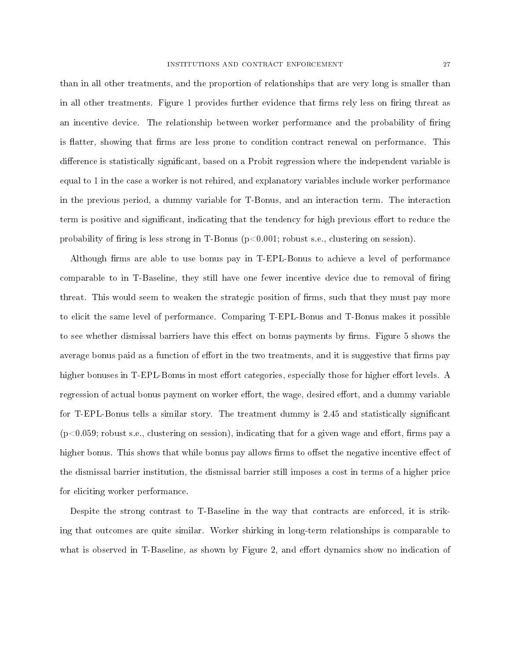than in all other treatments, and the proportion of relationships that are very long is smaller than in all other treatments. Figure 1 provides further evidence that firms rely less on firing threat as an incentive device. The relationship between worker performance and the probability of firing is flatter, showing that firms are less prone to condition contract renewal on performance. This difference is statistically significant, based on a Probit regression where the independent variable is equal to 1 in the case a worker is not rehired, and explanatory variables include worker performance in the previous period, a dummy variable for T-Bonus, and an interaction term. The interaction term is positive and significant, indicating that the tendency for high previous effort to reduce the probability of firing is less strong in T-Bonus  $(p<0.001;$  robust s.e., clustering on session).

Although firms are able to use bonus pay in T-EPL-Bonus to achieve a level of performance comparable to in T-Baseline, they still have one fewer incentive device due to removal of firing threat. This would seem to weaken the strategic position of firms, such that they must pay more to elicit the same level of performance. Comparing T-EPL-Bonus and T-Bonus makes it possible to see whether dismissal barriers have this effect on bonus payments by firms. Figure 5 shows the average bonus paid as a function of effort in the two treatments, and it is suggestive that firms pay higher bonuses in T-EPL-Bonus in most effort categories, especially those for higher effort levels. A regression of actual bonus payment on worker effort, the wage, desired effort, and a dummy variable for T-EPL-Bonus tells a similar story. The treatment dummy is 2.45 and statistically signicant  $(p<0.059$ ; robust s.e., clustering on session), indicating that for a given wage and effort, firms pay a higher bonus. This shows that while bonus pay allows firms to offset the negative incentive effect of the dismissal barrier institution, the dismissal barrier still imposes a cost in terms of a higher price for eliciting worker performance.

Despite the strong contrast to T-Baseline in the way that contracts are enforced, it is striking that outcomes are quite similar. Worker shirking in long-term relationships is comparable to what is observed in T-Baseline, as shown by Figure 2, and effort dynamics show no indication of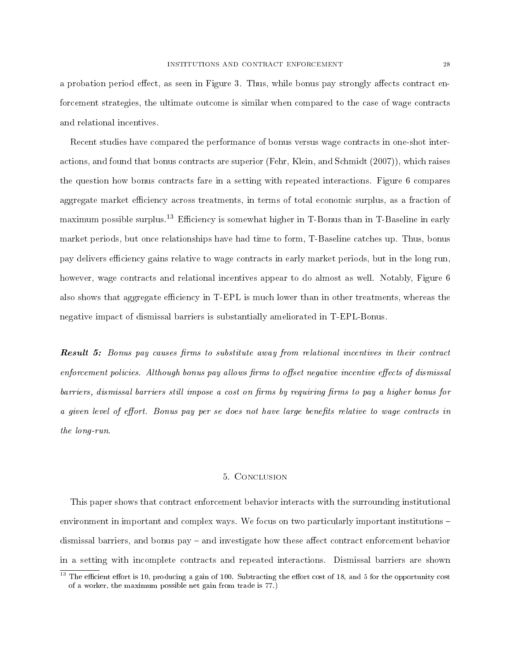a probation period effect, as seen in Figure 3. Thus, while bonus pay strongly affects contract enforcement strategies, the ultimate outcome is similar when compared to the case of wage contracts and relational incentives.

Recent studies have compared the performance of bonus versus wage contracts in one-shot interactions, and found that bonus contracts are superior (Fehr, Klein, and Schmidt (2007)), which raises the question how bonus contracts fare in a setting with repeated interactions. Figure 6 compares aggregate market efficiency across treatments, in terms of total economic surplus, as a fraction of maximum possible surplus.<sup>13</sup> Efficiency is somewhat higher in T-Bonus than in T-Baseline in early market periods, but once relationships have had time to form, T-Baseline catches up. Thus, bonus pay delivers efficiency gains relative to wage contracts in early market periods, but in the long run, however, wage contracts and relational incentives appear to do almost as well. Notably, Figure 6 also shows that aggregate efficiency in T-EPL is much lower than in other treatments, whereas the negative impact of dismissal barriers is substantially ameliorated in T-EPL-Bonus.

**Result 5:** Bonus pay causes firms to substitute away from relational incentives in their contract enforcement policies. Although bonus pay allows firms to offset negative incentive effects of dismissal barriers, dismissal barriers still impose a cost on firms by requiring firms to pay a higher bonus for a given level of effort. Bonus pay per se does not have large benefits relative to wage contracts in the long-run.

#### 5. Conclusion

This paper shows that contract enforcement behavior interacts with the surrounding institutional environment in important and complex ways. We focus on two particularly important institutions – dismissal barriers, and bonus pay – and investigate how these affect contract enforcement behavior in a setting with incomplete contracts and repeated interactions. Dismissal barriers are shown

 $13$  The efficient effort is 10, producing a gain of 100. Subtracting the effort cost of 18, and 5 for the opportunity cost of a worker, the maximum possible net gain from trade is 77.)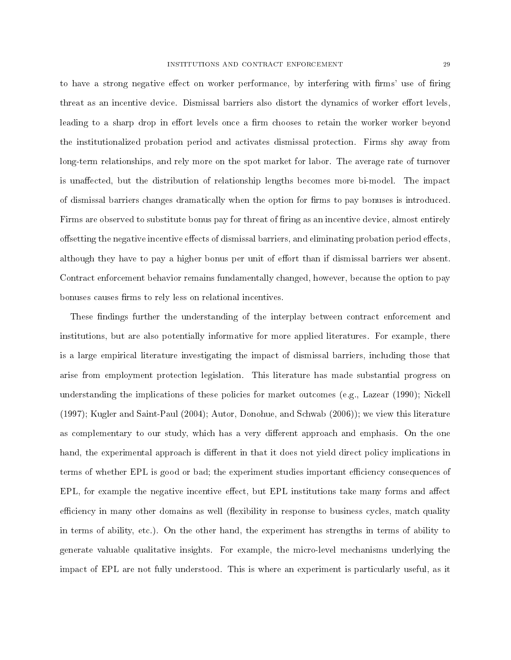to have a strong negative effect on worker performance, by interfering with firms' use of firing threat as an incentive device. Dismissal barriers also distort the dynamics of worker effort levels, leading to a sharp drop in effort levels once a firm chooses to retain the worker worker beyond the institutionalized probation period and activates dismissal protection. Firms shy away from long-term relationships, and rely more on the spot market for labor. The average rate of turnover is unaffected, but the distribution of relationship lengths becomes more bi-model. The impact of dismissal barriers changes dramatically when the option for firms to pay bonuses is introduced. Firms are observed to substitute bonus pay for threat of firing as an incentive device, almost entirely offsetting the negative incentive effects of dismissal barriers, and eliminating probation period effects. although they have to pay a higher bonus per unit of effort than if dismissal barriers wer absent. Contract enforcement behavior remains fundamentally changed, however, because the option to pay bonuses causes firms to rely less on relational incentives.

These findings further the understanding of the interplay between contract enforcement and institutions, but are also potentially informative for more applied literatures. For example, there is a large empirical literature investigating the impact of dismissal barriers, including those that arise from employment protection legislation. This literature has made substantial progress on understanding the implications of these policies for market outcomes (e.g., Lazear (1990); Nickell (1997); Kugler and Saint-Paul (2004); Autor, Donohue, and Schwab (2006)); we view this literature as complementary to our study, which has a very different approach and emphasis. On the one hand, the experimental approach is different in that it does not yield direct policy implications in terms of whether EPL is good or bad; the experiment studies important efficiency consequences of EPL, for example the negative incentive effect, but EPL institutions take many forms and affect efficiency in many other domains as well (flexibility in response to business cycles, match quality in terms of ability, etc.). On the other hand, the experiment has strengths in terms of ability to generate valuable qualitative insights. For example, the micro-level mechanisms underlying the impact of EPL are not fully understood. This is where an experiment is particularly useful, as it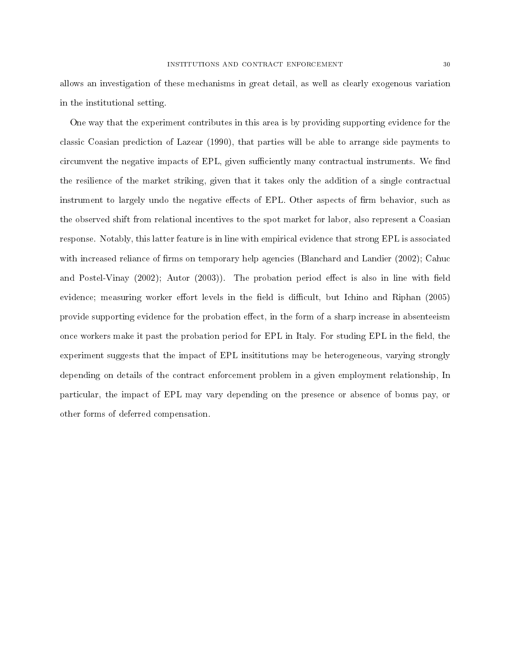allows an investigation of these mechanisms in great detail, as well as clearly exogenous variation in the institutional setting.

One way that the experiment contributes in this area is by providing supporting evidence for the classic Coasian prediction of Lazear (1990), that parties will be able to arrange side payments to circumvent the negative impacts of EPL, given sufficiently many contractual instruments. We find the resilience of the market striking, given that it takes only the addition of a single contractual instrument to largely undo the negative effects of EPL. Other aspects of firm behavior, such as the observed shift from relational incentives to the spot market for labor, also represent a Coasian response. Notably, this latter feature is in line with empirical evidence that strong EPL is associated with increased reliance of firms on temporary help agencies (Blanchard and Landier  $(2002)$ ; Cahuc and Postel-Vinay  $(2002)$ ; Autor  $(2003)$ ). The probation period effect is also in line with field evidence; measuring worker effort levels in the field is difficult, but Ichino and Riphan (2005) provide supporting evidence for the probation effect, in the form of a sharp increase in absenteeism once workers make it past the probation period for EPL in Italy. For studing EPL in the field, the experiment suggests that the impact of EPL insititutions may be heterogeneous, varying strongly depending on details of the contract enforcement problem in a given employment relationship, In particular, the impact of EPL may vary depending on the presence or absence of bonus pay, or other forms of deferred compensation.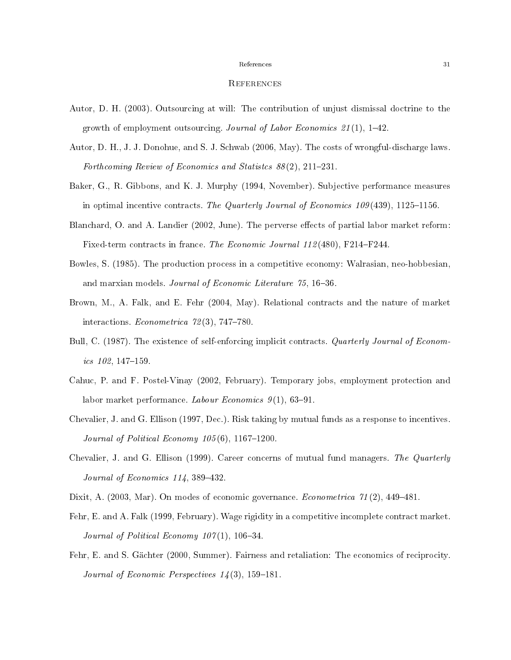#### **REFERENCES**

- Autor, D. H. (2003). Outsourcing at will: The contribution of unjust dismissal doctrine to the growth of employment outsourcing. Journal of Labor Economics  $21(1)$ , 1–42.
- Autor, D. H., J. J. Donohue, and S. J. Schwab (2006, May). The costs of wrongful-discharge laws. Forthcoming Review of Economics and Statistes  $88(2)$ , 211-231.
- Baker, G., R. Gibbons, and K. J. Murphy (1994, November). Subjective performance measures in optimal incentive contracts. The Quarterly Journal of Economics 109(439), 1125–1156.
- Blanchard, O. and A. Landier (2002, June). The perverse effects of partial labor market reform: Fixed-term contracts in france. The Economic Journal 112(480), F214–F244.
- Bowles, S. (1985). The production process in a competitive economy: Walrasian, neo-hobbesian, and marxian models. Journal of Economic Literature 75, 16-36.
- Brown, M., A. Falk, and E. Fehr (2004, May). Relational contracts and the nature of market interactions. *Econometrica*  $72(3)$ ,  $747-780$ .
- Bull, C. (1987). The existence of self-enforcing implicit contracts. Quarterly Journal of Econom $ics$  102, 147-159.
- Cahuc, P. and F. Postel-Vinay (2002, February). Temporary jobs, employment protection and labor market performance. Labour Economics  $9(1)$ , 63-91.
- Chevalier, J. and G. Ellison (1997, Dec.). Risk taking by mutual funds as a response to incentives. Journal of Political Economy  $105(6)$ , 1167-1200.
- Chevalier, J. and G. Ellison (1999). Career concerns of mutual fund managers. The Quarterly Journal of Economics  $114$ , 389-432.
- Dixit, A. (2003, Mar). On modes of economic governance. *Econometrica*  $\gamma_1(2)$ , 449–481.
- Fehr, E. and A. Falk (1999, February). Wage rigidity in a competitive incomplete contract market. Journal of Political Economy  $107(1)$ , 106-34.
- Fehr, E. and S. Gächter (2000, Summer). Fairness and retaliation: The economics of reciprocity. Journal of Economic Perspectives  $14(3)$ , 159-181.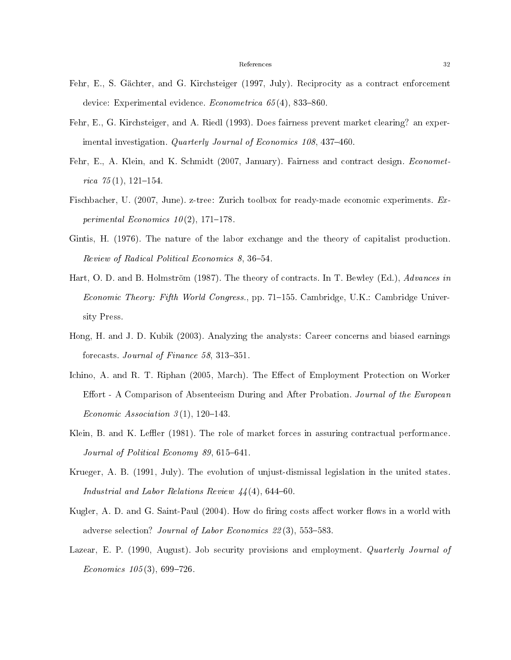- Fehr, E., S. Gächter, and G. Kirchsteiger (1997, July). Reciprocity as a contract enforcement device: Experimental evidence. *Econometrica*  $65(4)$ , 833–860.
- Fehr, E., G. Kirchsteiger, and A. Riedl (1993). Does fairness prevent market clearing? an experimental investigation. Quarterly Journal of Economics 108, 437-460.
- Fehr, E., A. Klein, and K. Schmidt (2007, January). Fairness and contract design. Econometrica  $75(1)$ , 121-154.
- Fischbacher, U. (2007, June). z-tree: Zurich toolbox for ready-made economic experiments. Experimental Economics  $10(2)$ , 171-178.
- Gintis, H. (1976). The nature of the labor exchange and the theory of capitalist production. Review of Radical Political Economics 8, 36–54.
- Hart, O. D. and B. Holmström (1987). The theory of contracts. In T. Bewley (Ed.), Advances in Economic Theory: Fifth World Congress., pp. 71-155. Cambridge, U.K.: Cambridge University Press.
- Hong, H. and J. D. Kubik (2003). Analyzing the analysts: Career concerns and biased earnings forecasts. Journal of Finance 58, 313-351.
- Ichino, A. and R. T. Riphan (2005, March). The Effect of Employment Protection on Worker Effort - A Comparison of Absenteeism During and After Probation. Journal of the European Economic Association  $3(1)$ , 120-143.
- Klein, B. and K. Leffler (1981). The role of market forces in assuring contractual performance. Journal of Political Economy 89,  $615-641$ .
- Krueger, A. B. (1991, July). The evolution of unjust-dismissal legislation in the united states. Industrial and Labor Relations Review  $44(4)$ , 644-60.
- Kugler, A. D. and G. Saint-Paul (2004). How do firing costs affect worker flows in a world with adverse selection? Journal of Labor Economics  $22(3)$ , 553-583.
- Lazear, E. P. (1990, August). Job security provisions and employment. Quarterly Journal of  $Economics\ 105(3),\ 699-726.$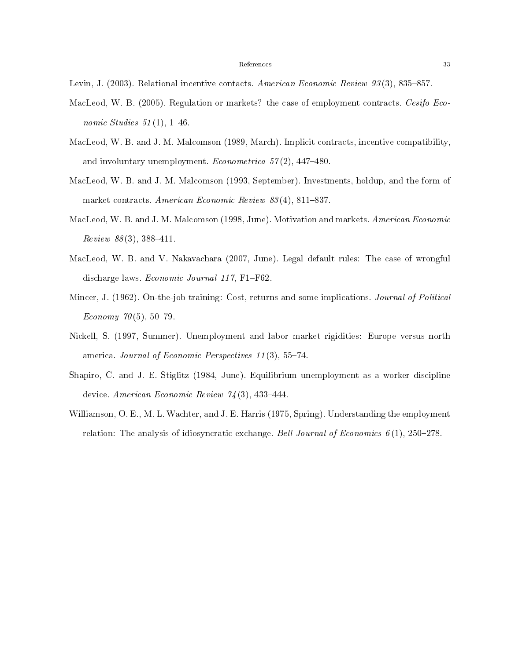- MacLeod, W. B. (2005). Regulation or markets? the case of employment contracts. Cesifo Economic Studies  $51(1)$ , 1-46.
- MacLeod, W. B. and J. M. Malcomson (1989, March). Implicit contracts, incentive compatibility, and involuntary unemployment. Econometrica  $57(2)$ , 447-480.
- MacLeod, W. B. and J. M. Malcomson (1993, September). Investments, holdup, and the form of market contracts. American Economic Review  $83(4)$ , 811-837.
- MacLeod, W. B. and J. M. Malcomson (1998, June). Motivation and markets. American Economic  $Review 88(3), 388-411.$
- MacLeod, W. B. and V. Nakavachara (2007, June). Legal default rules: The case of wrongful discharge laws. Economic Journal 117, F1-F62.
- Mincer, J. (1962). On-the-job training: Cost, returns and some implications. Journal of Political Economy  $70(5)$ , 50-79.
- Nickell, S. (1997, Summer). Unemployment and labor market rigidities: Europe versus north america. Journal of Economic Perspectives  $11(3)$ , 55-74.
- Shapiro, C. and J. E. Stiglitz (1984, June). Equilibrium unemployment as a worker discipline device. American Economic Review  $74(3)$ , 433-444.
- Williamson, O. E., M. L. Wachter, and J. E. Harris (1975, Spring). Understanding the employment relation: The analysis of idiosyncratic exchange. Bell Journal of Economics  $6(1)$ , 250–278.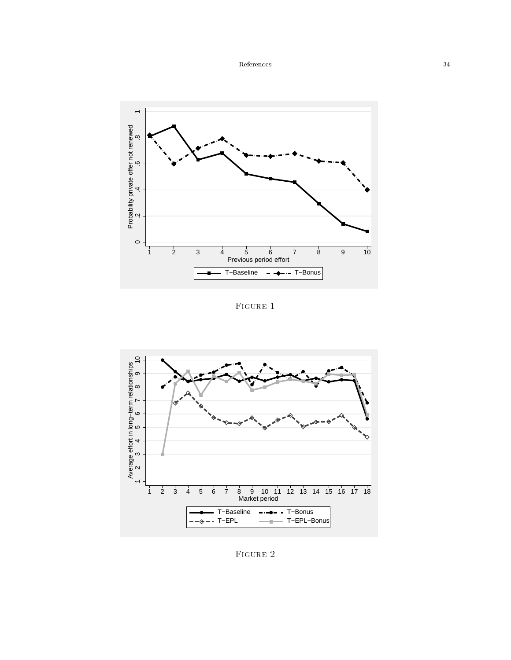

FIGURE 1



FIGURE 2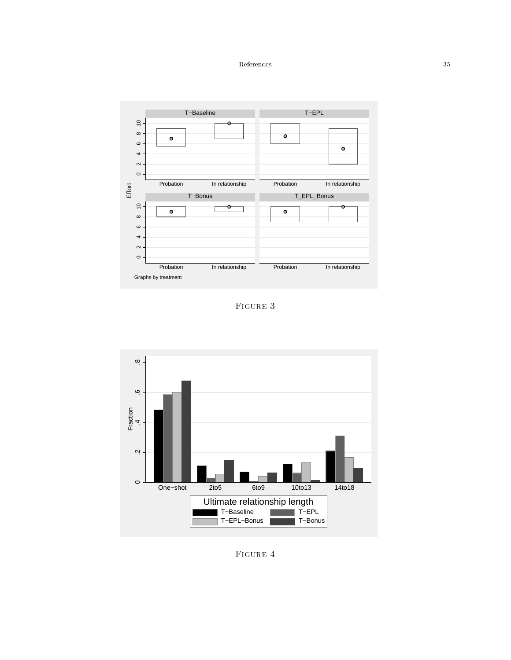

Figure 3



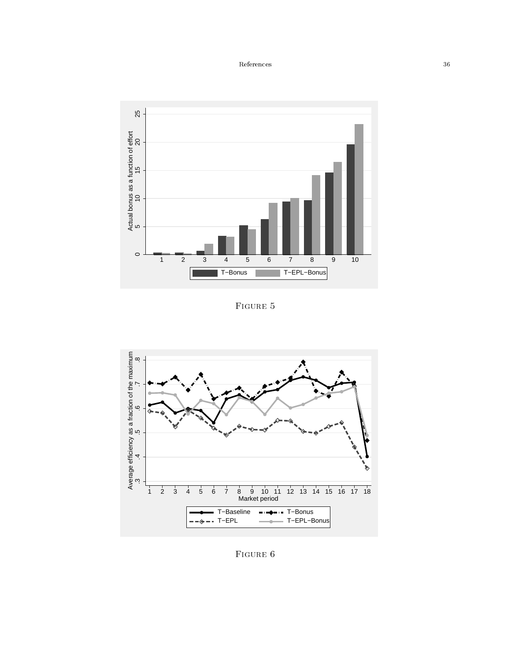

Figure 5



Figure 6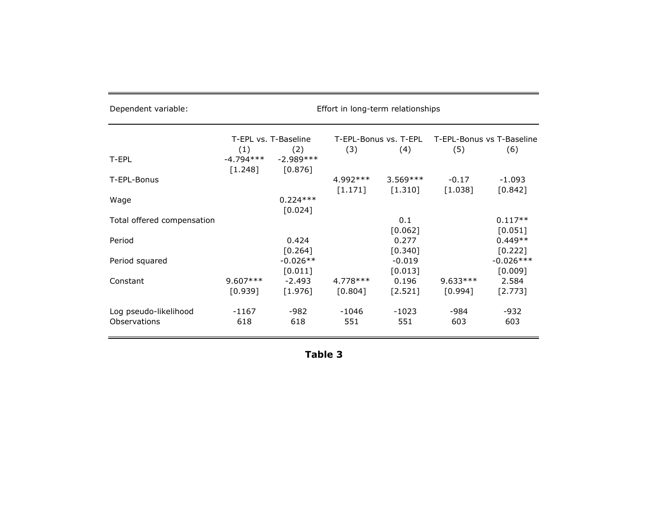| Dependent variable:                          |                               |                               | Effort in long-term relationships |                       |                       |                           |
|----------------------------------------------|-------------------------------|-------------------------------|-----------------------------------|-----------------------|-----------------------|---------------------------|
|                                              | T-EPL vs. T-Baseline          |                               |                                   | T-EPL-Bonus vs. T-EPL |                       | T-EPL-Bonus vs T-Baseline |
| T-EPL                                        | (1)<br>$-4.794***$<br>[1.248] | (2)<br>$-2.989***$<br>[0.876] | (3)                               | (4)                   | (5)                   | (6)                       |
| T-EPL-Bonus                                  |                               |                               | 4.992 ***<br>[1.171]              | $3.569***$<br>[1.310] | $-0.17$<br>[1.038]    | $-1.093$<br>[0.842]       |
| Wage                                         |                               | $0.224***$<br>[0.024]         |                                   |                       |                       |                           |
| Total offered compensation                   |                               |                               |                                   | 0.1<br>[0.062]        |                       | $0.117**$<br>[0.051]      |
| Period                                       |                               | 0.424<br>[0.264]              |                                   | 0.277<br>[0.340]      |                       | $0.449**$<br>[0.222]      |
| Period squared                               |                               | $-0.026**$<br>[0.011]         |                                   | $-0.019$<br>[0.013]   |                       | $-0.026***$<br>[0.009]    |
| Constant                                     | $9.607***$<br>[0.939]         | $-2.493$<br>[1.976]           | 4.778 ***<br>[0.804]              | 0.196<br>$[2.521]$    | $9.633***$<br>[0.994] | 2.584<br>[2.773]          |
| Log pseudo-likelihood<br><b>Observations</b> | $-1167$<br>618                | -982<br>618                   | -1046<br>551                      | $-1023$<br>551        | -984<br>603           | $-932$<br>603             |

| н | I<br>L |  |  |
|---|--------|--|--|
|---|--------|--|--|